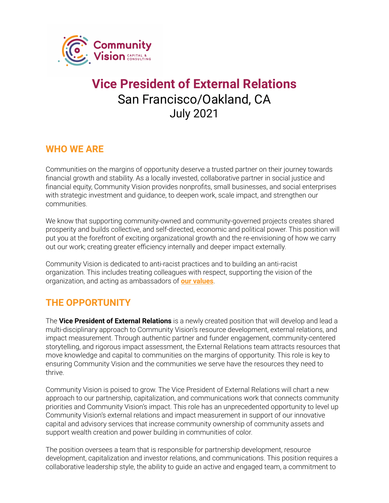

# **Vice President of External Relations** San Francisco/Oakland, CA July 2021

#### **WHO WE ARE**

Communities on the margins of opportunity deserve a trusted partner on their journey towards financial growth and stability. As a locally invested, collaborative partner in social justice and financial equity, Community Vision provides nonprofits, small businesses, and social enterprises with strategic investment and guidance, to deepen work, scale impact, and strengthen our communities.

We know that supporting community-owned and community-governed projects creates shared prosperity and builds collective, and self-directed, economic and political power. This position will put you at the forefront of exciting organizational growth and the re-envisioning of how we carry out our work; creating greater efficiency internally and deeper impact externally.

Community Vision is dedicated to anti-racist practices and to building an anti-racist organization. This includes treating colleagues with respect, supporting the vision of the organization, and acting as ambassadors of **our [values](https://communityvisionca.org/about-us/#ourvalues)**.

#### **THE OPPORTUNITY**

The **Vice President of External Relations** is a newly created position that will develop and lead a multi-disciplinary approach to Community Vision's resource development, external relations, and impact measurement. Through authentic partner and funder engagement, community-centered storytelling, and rigorous impact assessment, the External Relations team attracts resources that move knowledge and capital to communities on the margins of opportunity. This role is key to ensuring Community Vision and the communities we serve have the resources they need to thrive.

Community Vision is poised to grow. The Vice President of External Relations will chart a new approach to our partnership, capitalization, and communications work that connects community priorities and Community Vision's impact. This role has an unprecedented opportunity to level up Community Vision's external relations and impact measurement in support of our innovative capital and advisory services that increase community ownership of community assets and support wealth creation and power building in communities of color.

The position oversees a team that is responsible for partnership development, resource development, capitalization and investor relations, and communications. This position requires a collaborative leadership style, the ability to guide an active and engaged team, a commitment to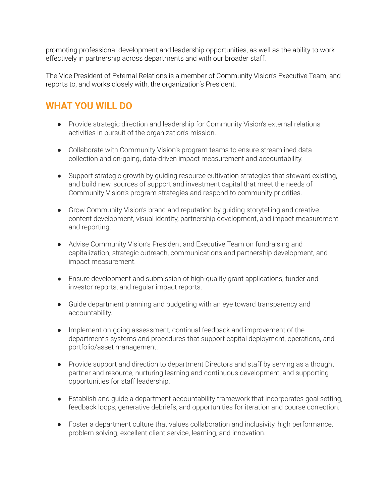promoting professional development and leadership opportunities, as well as the ability to work effectively in partnership across departments and with our broader staff.

The Vice President of External Relations is a member of Community Vision's Executive Team, and reports to, and works closely with, the organization's President.

## **WHAT YOU WILL DO**

- Provide strategic direction and leadership for Community Vision's external relations activities in pursuit of the organization's mission.
- Collaborate with Community Vision's program teams to ensure streamlined data collection and on-going, data-driven impact measurement and accountability.
- Support strategic growth by guiding resource cultivation strategies that steward existing, and build new, sources of support and investment capital that meet the needs of Community Vision's program strategies and respond to community priorities.
- Grow Community Vision's brand and reputation by guiding storytelling and creative content development, visual identity, partnership development, and impact measurement and reporting.
- Advise Community Vision's President and Executive Team on fundraising and capitalization, strategic outreach, communications and partnership development, and impact measurement.
- Ensure development and submission of high-quality grant applications, funder and investor reports, and regular impact reports.
- Guide department planning and budgeting with an eye toward transparency and accountability.
- Implement on-going assessment, continual feedback and improvement of the department's systems and procedures that support capital deployment, operations, and portfolio/asset management.
- Provide support and direction to department Directors and staff by serving as a thought partner and resource, nurturing learning and continuous development, and supporting opportunities for staff leadership.
- Establish and guide a department accountability framework that incorporates goal setting, feedback loops, generative debriefs, and opportunities for iteration and course correction.
- Foster a department culture that values collaboration and inclusivity, high performance, problem solving, excellent client service, learning, and innovation.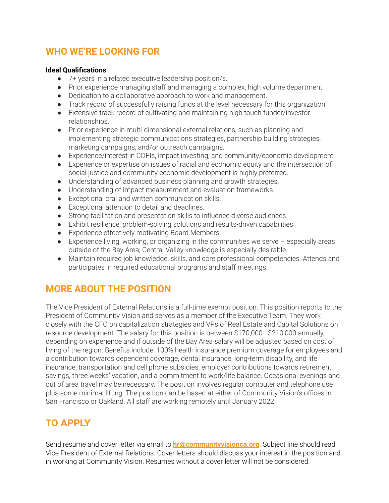#### **WHO WE'RE LOOKING FOR**

#### **Ideal Qualifications**

- 7+ years in a related executive leadership position/s.
- Prior experience managing staff and managing a complex, high volume department.
- Dedication to a collaborative approach to work and management.
- Track record of successfully raising funds at the level necessary for this organization.
- Extensive track record of cultivating and maintaining high touch funder/investor relationships.
- Prior experience in multi-dimensional external relations, such as planning and implementing strategic communications strategies, partnership building strategies, marketing campaigns, and/or outreach campaigns.
- Experience/interest in CDFIs, impact investing, and community/economic development.
- Experience or expertise on issues of racial and economic equity and the intersection of social justice and community economic development is highly preferred.
- Understanding of advanced business planning and growth strategies.
- Understanding of impact measurement and evaluation frameworks.
- Exceptional oral and written communication skills.
- Exceptional attention to detail and deadlines.
- Strong facilitation and presentation skills to influence diverse audiences.
- Exhibit resilience, problem-solving solutions and results-driven capabilities.
- Experience effectively motivating Board Members.
- $\bullet$  Experience living, working, or organizing in the communities we serve  $-$  especially areas outside of the Bay Area; Central Valley knowledge is especially desirable.
- Maintain required job knowledge, skills, and core professional competencies. Attends and participates in required educational programs and staff meetings.

#### **MORE ABOUT THE POSITION**

The Vice President of External Relations is a full-time exempt position. This position reports to the President of Community Vision and serves as a member of the Executive Team. They work closely with the CFO on capitalization strategies and VPs of Real Estate and Capital Solutions on resource development. The salary for this position is between \$170,000 - \$210,000 annually, depending on experience and if outside of the Bay Area salary will be adjusted based on cost of living of the region. Benefits include: 100% health insurance premium coverage for employees and a contribution towards dependent coverage, dental insurance, long-term disability, and life insurance, transportation and cell phone subsidies, employer contributions towards retirement savings, three weeks' vacation, and a commitment to work/life balance. Occasional evenings and out of area travel may be necessary. The position involves regular computer and telephone use plus some minimal lifting. The position can be based at either of Community Vision's offices in San Francisco or Oakland. All staff are working remotely until January 2022.

## **TO APPLY**

Send resume and cover letter via email to **[hr@communityvisionca.org](mailto:hr@communityvisionca.org)**. Subject line should read: Vice President of External Relations. Cover letters should discuss your interest in the position and in working at Community Vision. Resumes without a cover letter will not be considered.